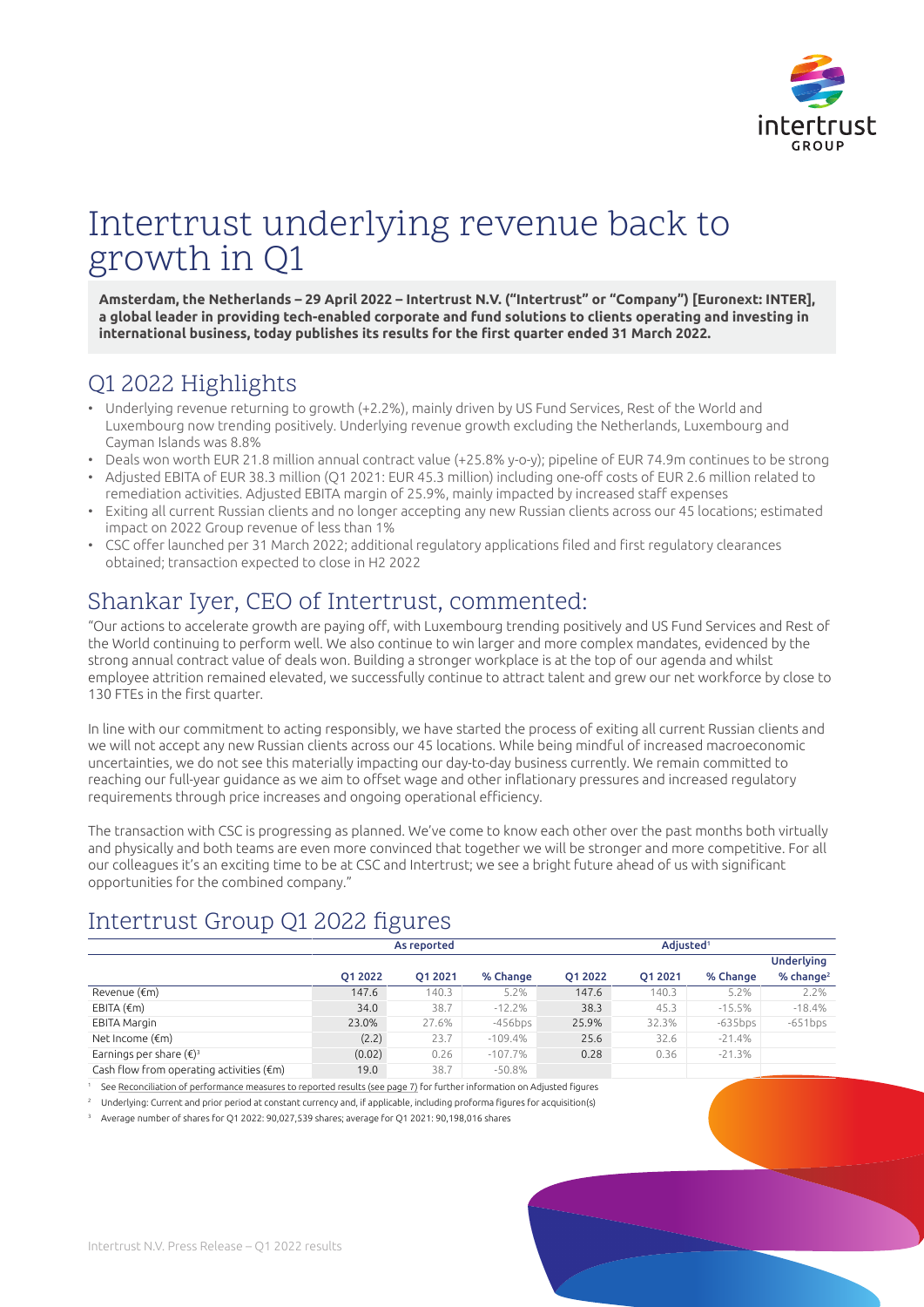

# Intertrust underlying revenue back to growth in Q1

**Amsterdam, the Netherlands – 29 April 2022 – Intertrust N.V. ("Intertrust" or "Company") [Euronext: INTER], a global leader in providing tech-enabled corporate and fund solutions to clients operating and investing in** international business, today publishes its results for the first quarter ended 31 March 2022.

## Q1 2022 Highlights

- Underlying revenue returning to growth (+2.2%), mainly driven by US Fund Services, Rest of the World and Luxembourg now trending positively. Underlying revenue growth excluding the Netherlands, Luxembourg and Cayman Islands was 8.8%
- Deals won worth EUR 21.8 million annual contract value (+25.8% y-o-y); pipeline of EUR 74.9m continues to be strong
- Adjusted EBITA of EUR 38.3 million (Q1 2021: EUR 45.3 million) including one-off costs of EUR 2.6 million related to remediation activities. Adjusted EBITA margin of 25.9%, mainly impacted by increased staff expenses
- Exiting all current Russian clients and no longer accepting any new Russian clients across our 45 locations; estimated impact on 2022 Group revenue of less than 1%
- CSC offer launched per 31 March 2022; additional regulatory applications filed and first regulatory clearances obtained; transaction expected to close in H2 2022

## Shankar Iyer, CEO of Intertrust, commented:

"Our actions to accelerate growth are paying off, with Luxembourg trending positively and US Fund Services and Rest of the World continuing to perform well. We also continue to win larger and more complex mandates, evidenced by the strong annual contract value of deals won. Building a stronger workplace is at the top of our agenda and whilst employee attrition remained elevated, we successfully continue to attract talent and grew our net workforce by close to 130 FTEs in the first quarter.

In line with our commitment to acting responsibly, we have started the process of exiting all current Russian clients and we will not accept any new Russian clients across our 45 locations. While being mindful of increased macroeconomic uncertainties, we do not see this materially impacting our day-to-day business currently. We remain committed to reaching our full-year guidance as we aim to offset wage and other inflationary pressures and increased regulatory requirements through price increases and ongoing operational efficiency.

The transaction with CSC is progressing as planned. We've come to know each other over the past months both virtually and physically and both teams are even more convinced that together we will be stronger and more competitive. For all our colleagues it's an exciting time to be at CSC and Intertrust; we see a bright future ahead of us with significant opportunities for the combined company."

## Intertrust Group Q1 2022 figures

|                                                    |         | As reported |            |         | Adiusted <sup>1</sup> |            |                       |  |
|----------------------------------------------------|---------|-------------|------------|---------|-----------------------|------------|-----------------------|--|
|                                                    |         |             |            |         |                       |            | <b>Underlying</b>     |  |
|                                                    | O1 2022 | 01 20 21    | % Change   | O1 2022 | 01 20 21              | % Change   | % change <sup>2</sup> |  |
| Revenue (€m)                                       | 147.6   | 140.3       | 5.2%       | 147.6   | 140.3                 | 5.2%       | 2.2%                  |  |
| EBITA $(\epsilon m)$                               | 34.0    | 38.7        | $-12.2%$   | 38.3    | 45.3                  | $-15.5%$   | $-18.4%$              |  |
| <b>EBITA Margin</b>                                | 23.0%   | 27.6%       | $-456$ bps | 25.9%   | 32.3%                 | $-635$ bps | $-651bps$             |  |
| Net Income $(\epsilon m)$                          | (2.2)   | 23.7        | $-109.4%$  | 25.6    | 32.6                  | $-21.4%$   |                       |  |
| Earnings per share $(\epsilon)^3$                  | (0.02)  | 0.26        | $-107.7\%$ | 0.28    | 0.36                  | $-21.3%$   |                       |  |
| Cash flow from operating activities $(\epsilon m)$ | 19.0    | 38.7        | $-50.8\%$  |         |                       |            |                       |  |

See [Reconciliation of performance measures to reported results \(see page 7\)](#page-6-0) for further information on Adjusted figures

<sup>2</sup> Underlying: Current and prior period at constant currency and, if applicable, including proforma figures for acquisition(s)

<sup>3</sup> Average number of shares for Q1 2022: 90,027,539 shares; average for Q1 2021: 90,198,016 shares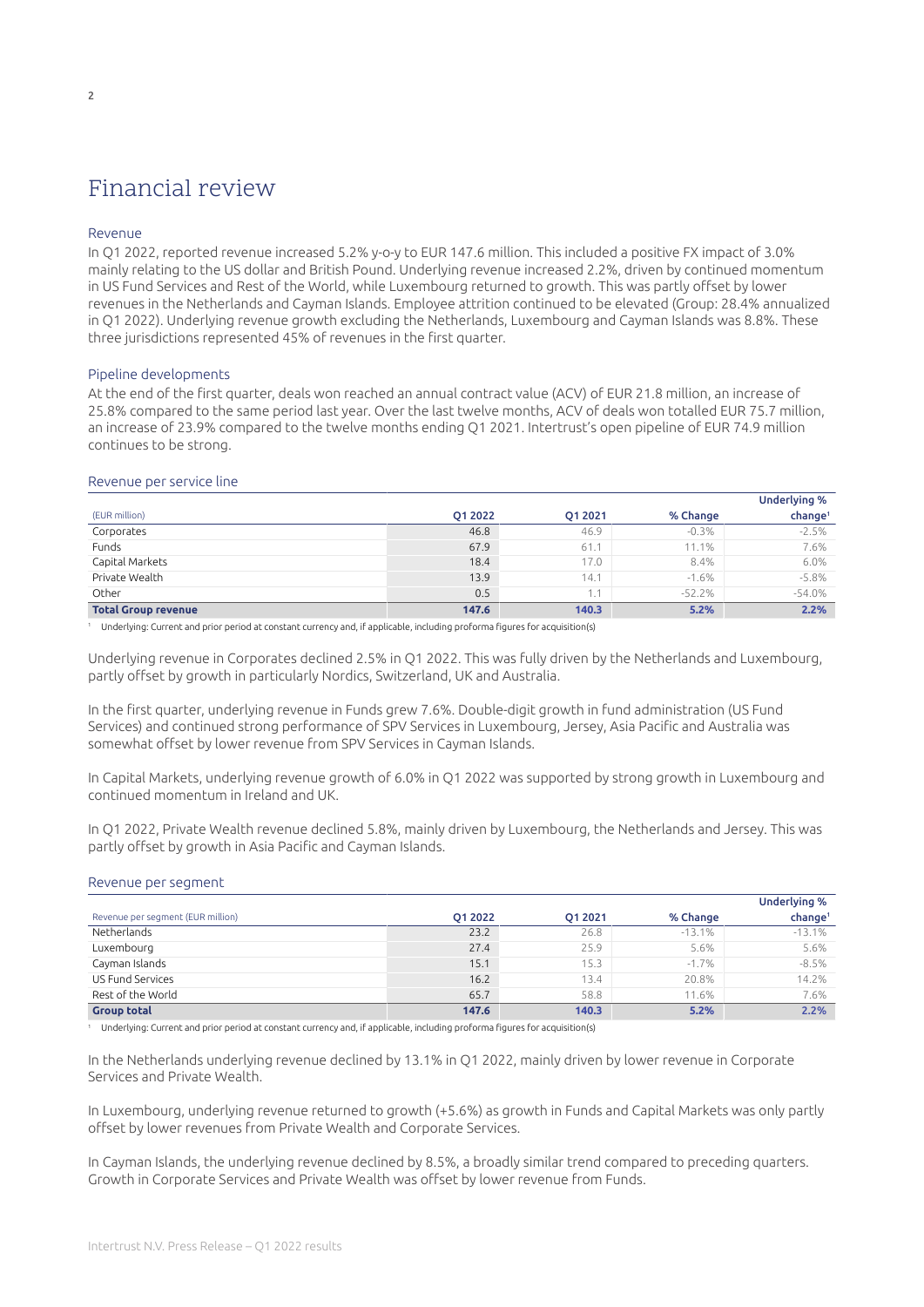## Financial review

### Revenue

In Q1 2022, reported revenue increased 5.2% y-o-y to EUR 147.6 million. This included a positive FX impact of 3.0% mainly relating to the US dollar and British Pound. Underlying revenue increased 2.2%, driven by continued momentum in US Fund Services and Rest of the World, while Luxembourg returned to growth. This was partly offset by lower revenues in the Netherlands and Cayman Islands. Employee attrition continued to be elevated (Group: 28.4% annualized in Q1 2022). Underlying revenue growth excluding the Netherlands, Luxembourg and Cayman Islands was 8.8%. These three jurisdictions represented 45% of revenues in the first quarter.

#### Pipeline developments

At the end of the first quarter, deals won reached an annual contract value (ACV) of EUR 21.8 million, an increase of 25.8% compared to the same period last year. Over the last twelve months, ACV of deals won totalled EUR 75.7 million, an increase of 23.9% compared to the twelve months ending Q1 2021. Intertrust's open pipeline of EUR 74.9 million continues to be strong.

#### Revenue per service line

|                            |         |         |          | <b>Underlying %</b> |
|----------------------------|---------|---------|----------|---------------------|
| (EUR million)              | O1 2022 | O1 2021 | % Change | change <sup>1</sup> |
| Corporates                 | 46.8    | 46.9    | $-0.3%$  | $-2.5%$             |
| Funds                      | 67.9    | 61.1    | 11.1%    | 7.6%                |
| Capital Markets            | 18.4    | 17.0    | 8.4%     | 6.0%                |
| Private Wealth             | 13.9    | 14.1    | $-1.6%$  | $-5.8%$             |
| Other                      | 0.5     | 1.1     | $-52.2%$ | $-54.0%$            |
| <b>Total Group revenue</b> | 147.6   | 140.3   | 5.2%     | 2.2%                |

<sup>1</sup> Underlying: Current and prior period at constant currency and, if applicable, including proforma figures for acquisition(s)

Underlying revenue in Corporates declined 2.5% in Q1 2022. This was fully driven by the Netherlands and Luxembourg, partly offset by growth in particularly Nordics, Switzerland, UK and Australia.

In the first quarter, underlying revenue in Funds grew 7.6%. Double-digit growth in fund administration (US Fund Services) and continued strong performance of SPV Services in Luxembourg, Jersey, Asia Pacific and Australia was somewhat offset by lower revenue from SPV Services in Cayman Islands.

In Capital Markets, underlying revenue growth of 6.0% in Q1 2022 was supported by strong growth in Luxembourg and continued momentum in Ireland and UK.

In Q1 2022, Private Wealth revenue declined 5.8%, mainly driven by Luxembourg, the Netherlands and Jersey. This was partly offset by growth in Asia Pacific and Cayman Islands.

| <i>Revenue per sequience</i>      |         |         |          |                     |
|-----------------------------------|---------|---------|----------|---------------------|
|                                   |         |         |          | <b>Underlying %</b> |
| Revenue per segment (EUR million) | O1 2022 | O1 2021 | % Change | change <sup>1</sup> |
| Netherlands                       | 23.2    | 26.8    | $-13.1%$ | $-13.1%$            |
| Luxembourg                        | 27.4    | 25.9    | 5.6%     | 5.6%                |
| Cayman Islands                    | 15.1    | 15.3    | $-1.7%$  | $-8.5%$             |
| US Fund Services                  | 16.2    | 13.4    | 20.8%    | 14.2%               |
| Rest of the World                 | 65.7    | 58.8    | 11.6%    | 7.6%                |
| <b>Group total</b>                | 147.6   | 140.3   | 5.2%     | 2.2%                |

#### Revenue per segment

<sup>1</sup> Underlying: Current and prior period at constant currency and, if applicable, including proforma figures for acquisition(s)

In the Netherlands underlying revenue declined by 13.1% in Q1 2022, mainly driven by lower revenue in Corporate Services and Private Wealth.

In Luxembourg, underlying revenue returned to growth (+5.6%) as growth in Funds and Capital Markets was only partly offset by lower revenues from Private Wealth and Corporate Services.

In Cayman Islands, the underlying revenue declined by 8.5%, a broadly similar trend compared to preceding quarters. Growth in Corporate Services and Private Wealth was offset by lower revenue from Funds.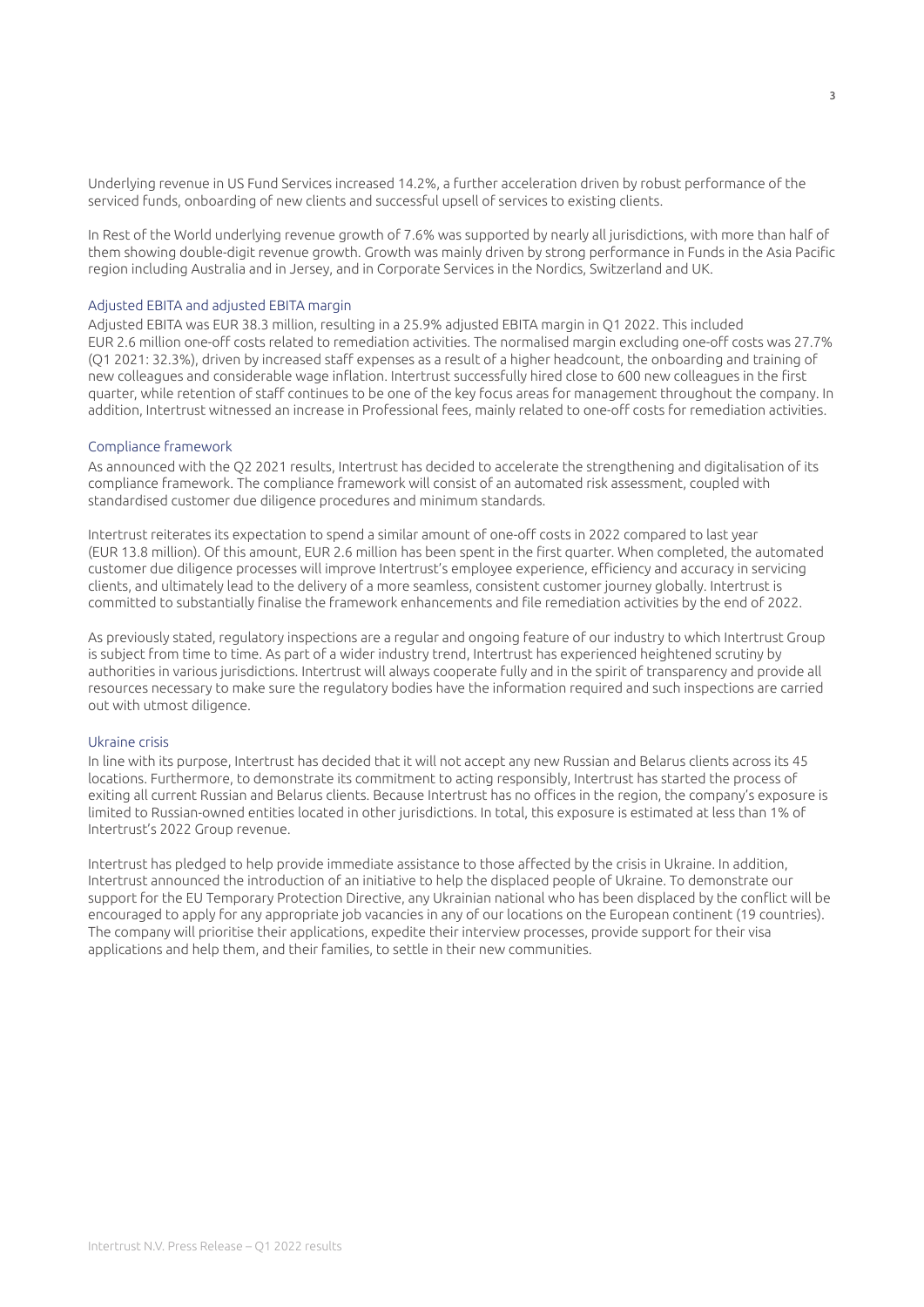Underlying revenue in US Fund Services increased 14.2%, a further acceleration driven by robust performance of the serviced funds, onboarding of new clients and successful upsell of services to existing clients.

In Rest of the World underlying revenue growth of 7.6% was supported by nearly all jurisdictions, with more than half of them showing double-digit revenue growth. Growth was mainly driven by strong performance in Funds in the Asia Pacific region including Australia and in Jersey, and in Corporate Services in the Nordics, Switzerland and UK.

### Adjusted EBITA and adjusted EBITA margin

Adjusted EBITA was EUR 38.3 million, resulting in a 25.9% adjusted EBITA margin in Q1 2022. This included EUR 2.6 million one-off costs related to remediation activities. The normalised margin excluding one-off costs was 27.7% (Q1 2021: 32.3%), driven by increased staff expenses as a result of a higher headcount, the onboarding and training of new colleagues and considerable wage inflation. Intertrust successfully hired close to 600 new colleagues in the first quarter, while retention of staff continues to be one of the key focus areas for management throughout the company. In addition, Intertrust witnessed an increase in Professional fees, mainly related to one-off costs for remediation activities.

#### Compliance framework

As announced with the Q2 2021 results, Intertrust has decided to accelerate the strengthening and digitalisation of its compliance framework. The compliance framework will consist of an automated risk assessment, coupled with standardised customer due diligence procedures and minimum standards.

Intertrust reiterates its expectation to spend a similar amount of one-off costs in 2022 compared to last year (EUR 13.8 million). Of this amount, EUR 2.6 million has been spent in the first quarter. When completed, the automated customer due diligence processes will improve Intertrust's employee experience, efficiency and accuracy in servicing clients, and ultimately lead to the delivery of a more seamless, consistent customer journey globally. Intertrust is committed to substantially finalise the framework enhancements and file remediation activities by the end of 2022.

As previously stated, regulatory inspections are a regular and ongoing feature of our industry to which Intertrust Group is subject from time to time. As part of a wider industry trend, Intertrust has experienced heightened scrutiny by authorities in various jurisdictions. Intertrust will always cooperate fully and in the spirit of transparency and provide all resources necessary to make sure the regulatory bodies have the information required and such inspections are carried out with utmost diligence.

### Ukraine crisis

In line with its purpose, Intertrust has decided that it will not accept any new Russian and Belarus clients across its 45 locations. Furthermore, to demonstrate its commitment to acting responsibly, Intertrust has started the process of exiting all current Russian and Belarus clients. Because Intertrust has no offices in the region, the company's exposure is limited to Russian-owned entities located in other jurisdictions. In total, this exposure is estimated at less than 1% of Intertrust's 2022 Group revenue.

Intertrust has pledged to help provide immediate assistance to those affected by the crisis in Ukraine. In addition, Intertrust announced the introduction of an initiative to help the displaced people of Ukraine. To demonstrate our support for the EU Temporary Protection Directive, any Ukrainian national who has been displaced by the conflict will be encouraged to apply for any appropriate job vacancies in any of our locations on the European continent (19 countries). The company will prioritise their applications, expedite their interview processes, provide support for their visa applications and help them, and their families, to settle in their new communities.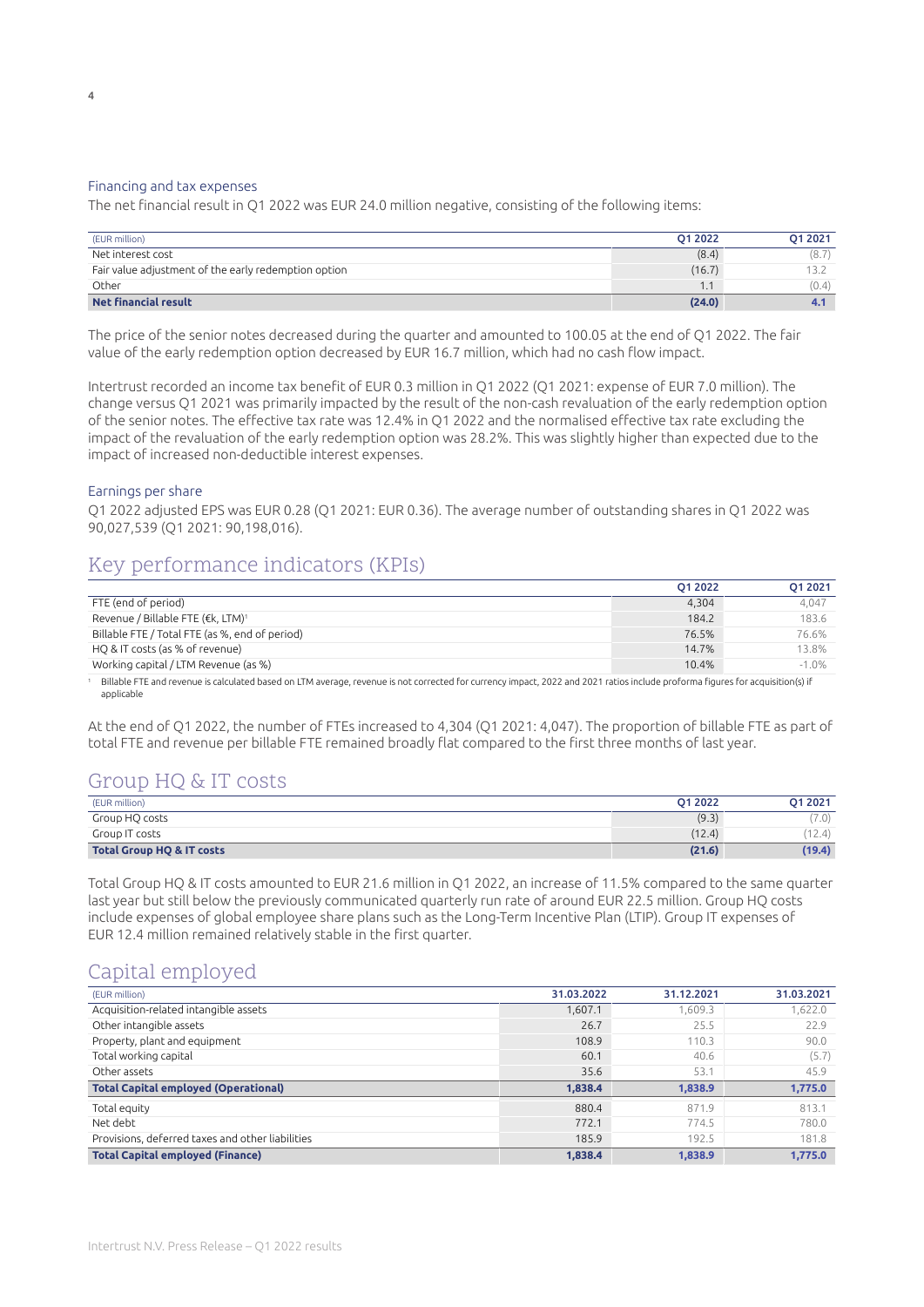#### Financing and tax expenses

The net financial result in Q1 2022 was EUR 24.0 million negative, consisting of the following items:

| (EUR million)                                        | O1 2022 | O1 2021 |
|------------------------------------------------------|---------|---------|
| Net interest cost                                    | (8.4)   | (8.7)   |
| Fair value adjustment of the early redemption option | (16.7)  |         |
| Other                                                | 1.1     | (0.4)   |
| <b>Net financial result</b>                          | (24.0)  |         |

The price of the senior notes decreased during the quarter and amounted to 100.05 at the end of Q1 2022. The fair value of the early redemption option decreased by EUR 16.7 million, which had no cash flow impact.

Intertrust recorded an income tax benefit of EUR 0.3 million in Q1 2022 (Q1 2021: expense of EUR 7.0 million). The change versus Q1 2021 was primarily impacted by the result of the non-cash revaluation of the early redemption option of the senior notes. The effective tax rate was 12.4% in Q1 2022 and the normalised effective tax rate excluding the impact of the revaluation of the early redemption option was 28.2%. This was slightly higher than expected due to the impact of increased non-deductible interest expenses.

#### Earnings per share

Q1 2022 adjusted EPS was EUR 0.28 (Q1 2021: EUR 0.36). The average number of outstanding shares in Q1 2022 was 90,027,539 (Q1 2021: 90,198,016).

### Key performance indicators (KPIs)

|                                                | O1 2022 | 01 2021 |
|------------------------------------------------|---------|---------|
| FTE (end of period)                            | 4,304   | 4.047   |
| Revenue / Billable FTE (€k, LTM) <sup>1</sup>  | 184.2   | 183.6   |
| Billable FTE / Total FTE (as %, end of period) | 76.5%   | 76.6%   |
| HO & IT costs (as % of revenue)                | 14.7%   | 13.8%   |
| Working capital / LTM Revenue (as %)           | 10.4%   | $-1.0%$ |

<sup>1</sup> Billable FTE and revenue is calculated based on LTM average, revenue is not corrected for currency impact, 2022 and 2021 ratios include proforma figures for acquisition(s) if applicable

At the end of Q1 2022, the number of FTEs increased to 4,304 (Q1 2021: 4,047). The proportion of billable FTE as part of total FTE and revenue per billable FTE remained broadly flat compared to the first three months of last year.

### Group HQ & IT costs

| (EUR million)                        | O1 2022 | 01 2021 |
|--------------------------------------|---------|---------|
| Group HQ costs                       | (9.3)   | (7.0)   |
| Group IT costs                       | (12.4)  | (12.4)  |
| <b>Total Group HQ &amp; IT costs</b> | (21.6)  | (19.4)  |

Total Group HQ & IT costs amounted to EUR 21.6 million in Q1 2022, an increase of 11.5% compared to the same quarter last year but still below the previously communicated quarterly run rate of around EUR 22.5 million. Group HQ costs include expenses of global employee share plans such as the Long-Term Incentive Plan (LTIP). Group IT expenses of EUR 12.4 million remained relatively stable in the first quarter.

### Capital employed

| (EUR million)                                    | 31.03.2022 | 31.12.2021 | 31.03.2021 |
|--------------------------------------------------|------------|------------|------------|
| Acquisition-related intangible assets            | 1,607.1    | 1,609.3    | 1,622.0    |
| Other intangible assets                          | 26.7       | 25.5       | 22.9       |
| Property, plant and equipment                    | 108.9      | 110.3      | 90.0       |
| Total working capital                            | 60.1       | 40.6       | (5.7)      |
| Other assets                                     | 35.6       | 53.1       | 45.9       |
| <b>Total Capital employed (Operational)</b>      | 1,838.4    | 1,838.9    | 1,775.0    |
| Total equity                                     | 880.4      | 871.9      | 813.1      |
| Net debt                                         | 772.1      | 774.5      | 780.0      |
| Provisions, deferred taxes and other liabilities | 185.9      | 192.5      | 181.8      |
| <b>Total Capital employed (Finance)</b>          | 1.838.4    | 1.838.9    | 1.775.0    |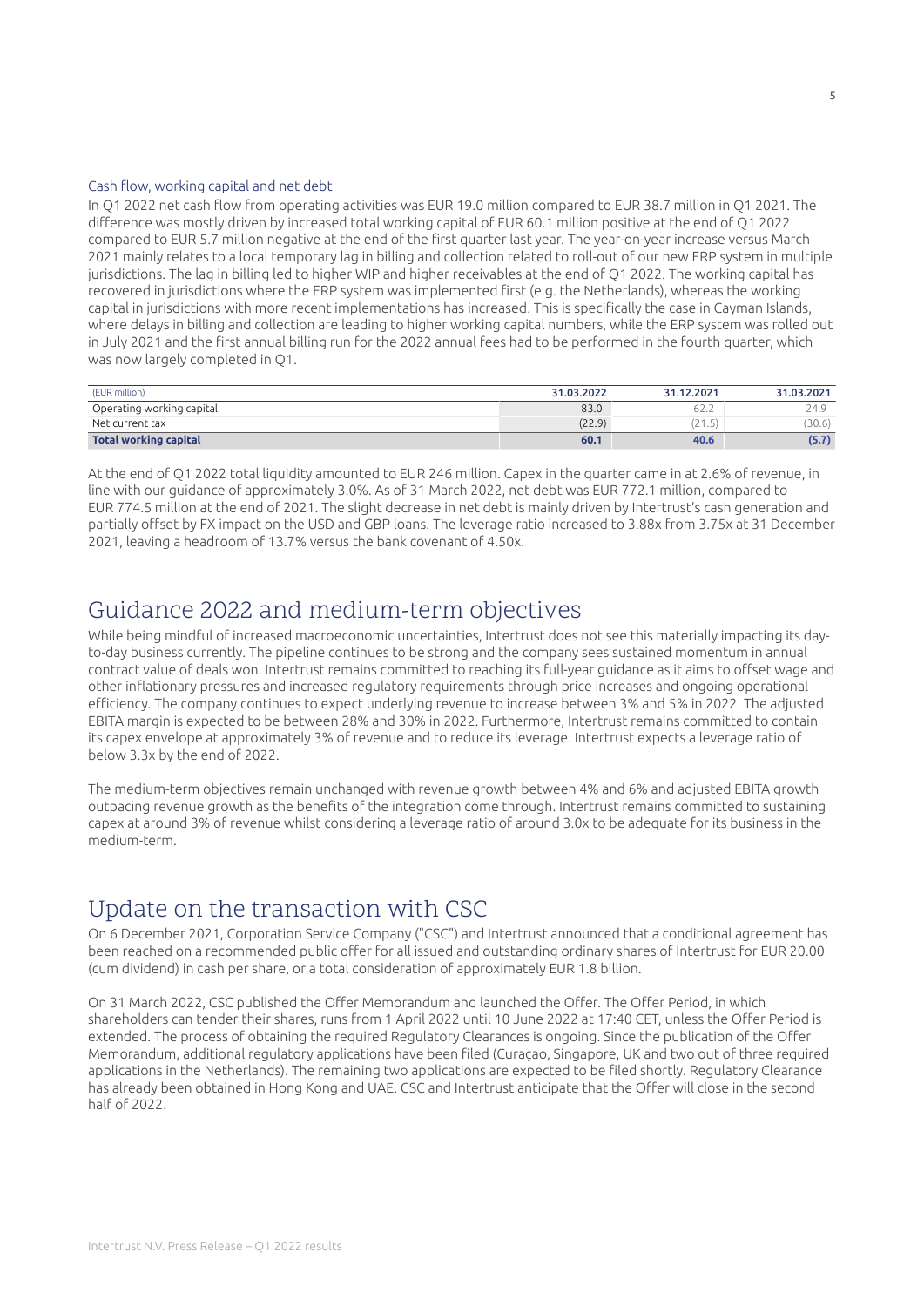#### Cash flow, working capital and net debt

In Q1 2022 net cash flow from operating activities was EUR 19.0 million compared to EUR 38.7 million in Q1 2021. The difference was mostly driven by increased total working capital of EUR 60.1 million positive at the end of Q1 2022 compared to EUR 5.7 million negative at the end of the first quarter last year. The year-on-year increase versus March 2021 mainly relates to a local temporary lag in billing and collection related to roll-out of our new ERP system in multiple jurisdictions. The lag in billing led to higher WIP and higher receivables at the end of Q1 2022. The working capital has recovered in jurisdictions where the ERP system was implemented first (e.g. the Netherlands), whereas the working capital in jurisdictions with more recent implementations has increased. This is specifically the case in Cayman Islands, where delays in billing and collection are leading to higher working capital numbers, while the ERP system was rolled out in July 2021 and the first annual billing run for the 2022 annual fees had to be performed in the fourth quarter, which was now largely completed in Q1.

| (EUR million)                | 31.03.2022 | 31.12.2021 | 31.03.2021 |
|------------------------------|------------|------------|------------|
| Operating working capital    | 83.0       | 62.Z       | 24.9       |
| Net current tax              | (22.9)     | ر          | 30.6)      |
| <b>Total working capital</b> | 60.1       | 40.6       | (5.7       |

At the end of Q1 2022 total liquidity amounted to EUR 246 million. Capex in the quarter came in at 2.6% of revenue, in line with our guidance of approximately 3.0%. As of 31 March 2022, net debt was EUR 772.1 million, compared to EUR 774.5 million at the end of 2021. The slight decrease in net debt is mainly driven by Intertrust's cash generation and partially offset by FX impact on the USD and GBP loans. The leverage ratio increased to 3.88x from 3.75x at 31 December 2021, leaving a headroom of 13.7% versus the bank covenant of 4.50x.

### Guidance 2022 and medium-term objectives

While being mindful of increased macroeconomic uncertainties, Intertrust does not see this materially impacting its dayto-day business currently. The pipeline continues to be strong and the company sees sustained momentum in annual contract value of deals won. Intertrust remains committed to reaching its full-year guidance as it aims to offset wage and other inflationary pressures and increased regulatory requirements through price increases and ongoing operational efficiency. The company continues to expect underlying revenue to increase between 3% and 5% in 2022. The adjusted EBITA margin is expected to be between 28% and 30% in 2022. Furthermore, Intertrust remains committed to contain its capex envelope at approximately 3% of revenue and to reduce its leverage. Intertrust expects a leverage ratio of below 3.3x by the end of 2022.

The medium-term objectives remain unchanged with revenue growth between 4% and 6% and adjusted EBITA growth outpacing revenue growth as the benefits of the integration come through. Intertrust remains committed to sustaining capex at around 3% of revenue whilst considering a leverage ratio of around 3.0x to be adequate for its business in the medium-term.

### Update on the transaction with CSC

On 6 December 2021, Corporation Service Company ("CSC") and Intertrust announced that a conditional agreement has been reached on a recommended public offer for all issued and outstanding ordinary shares of Intertrust for EUR 20.00 (cum dividend) in cash per share, or a total consideration of approximately EUR 1.8 billion.

On 31 March 2022, CSC published the Offer Memorandum and launched the Offer. The Offer Period, in which shareholders can tender their shares, runs from 1 April 2022 until 10 June 2022 at 17:40 CET, unless the Offer Period is extended. The process of obtaining the required Regulatory Clearances is ongoing. Since the publication of the Offer Memorandum, additional regulatory applications have been filed (Curaçao, Singapore, UK and two out of three required applications in the Netherlands). The remaining two applications are expected to be filed shortly. Regulatory Clearance has already been obtained in Hong Kong and UAE. CSC and Intertrust anticipate that the Offer will close in the second half of 2022.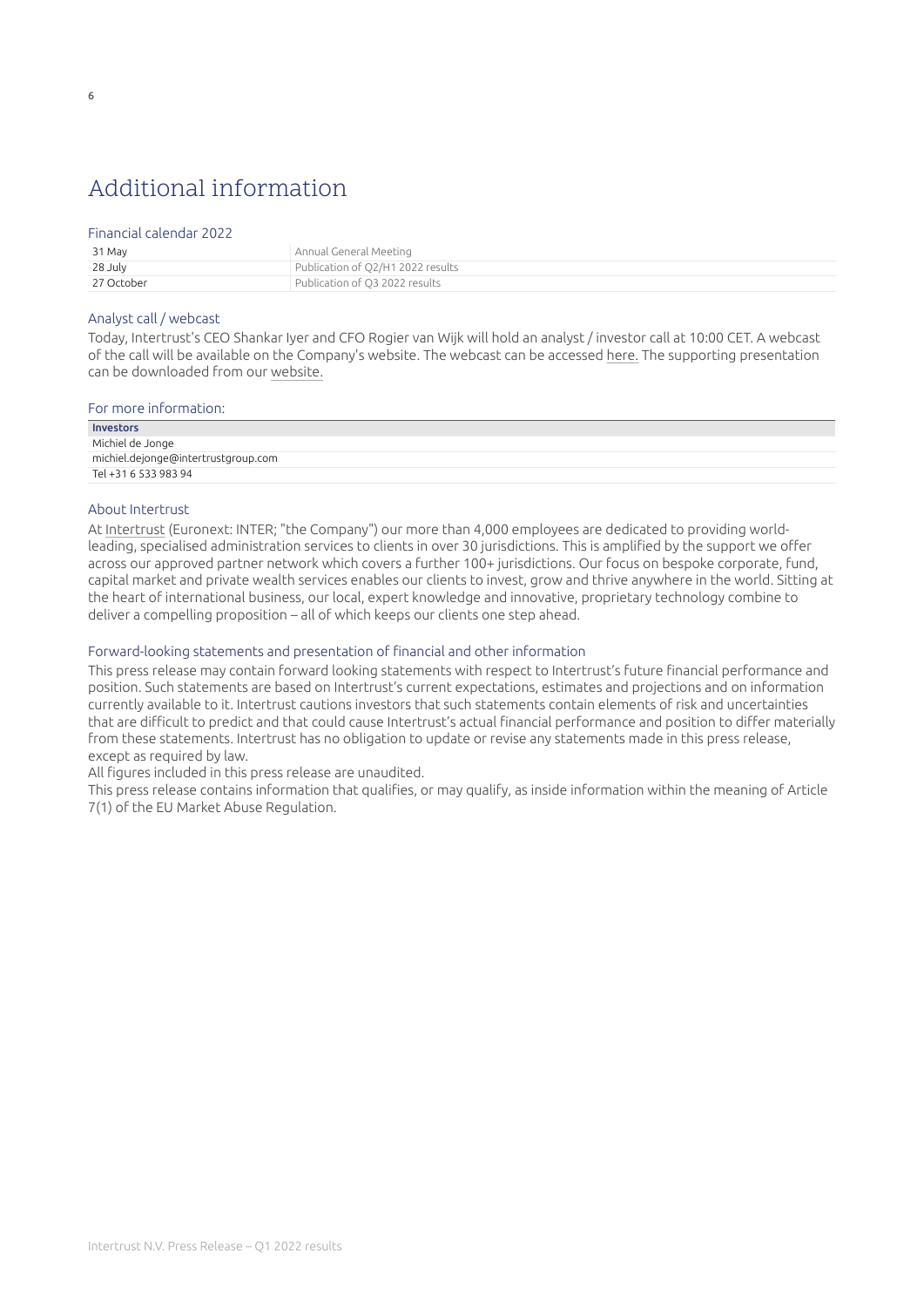## Additional information

### Financial calendar 2022

| 31 May     | Annual General Meeting            |
|------------|-----------------------------------|
| 28 July    | Publication of Q2/H1 2022 results |
| 27 October | Publication of O3 2022 results    |

### Analyst call / webcast

Today, Intertrust's CEO Shankar Iyer and CFO Rogier van Wijk will hold an analyst / investor call at 10:00 CET. A webcast of the call will be available on the Company's website. The webcast can be accessed [here](https://channel.royalcast.com/landingpage/intertrustgroupinvestors/20220429_1/)[.](https://ssl.webinar.nl/intertrustgroupinvestors/#!/intertrustgroupinvestors/20180802_1) The supporting presentation can be downloaded from our [website.](https://www.intertrustgroup.com/investors/reports-results-and-presentations/)

| For more information:               |  |
|-------------------------------------|--|
| Investors                           |  |
| Michiel de Jonge                    |  |
| michiel.dejonge@intertrustgroup.com |  |
| Tel +31 6 533 983 94                |  |
|                                     |  |

### About Intertrust

At [Intertrust](https://www.intertrustgroup.com/) (Euronext: INTER; "the Company") our more than 4,000 employees are dedicated to providing worldleading, specialised administration services to clients in over 30 jurisdictions. This is amplified by the support we offer across our approved partner network which covers a further 100+ jurisdictions. Our focus on bespoke corporate, fund, capital market and private wealth services enables our clients to invest, grow and thrive anywhere in the world. Sitting at the heart of international business, our local, expert knowledge and innovative, proprietary technology combine to deliver a compelling proposition – all of which keeps our clients one step ahead.

### Forward-looking statements and presentation of financial and other information

This press release may contain forward looking statements with respect to Intertrust's future financial performance and position. Such statements are based on Intertrust's current expectations, estimates and projections and on information currently available to it. Intertrust cautions investors that such statements contain elements of risk and uncertainties that are difficult to predict and that could cause Intertrust's actual financial performance and position to differ materially from these statements. Intertrust has no obligation to update or revise any statements made in this press release, except as required by law.

All figures included in this press release are unaudited.

This press release contains information that qualifies, or may qualify, as inside information within the meaning of Article 7(1) of the EU Market Abuse Regulation.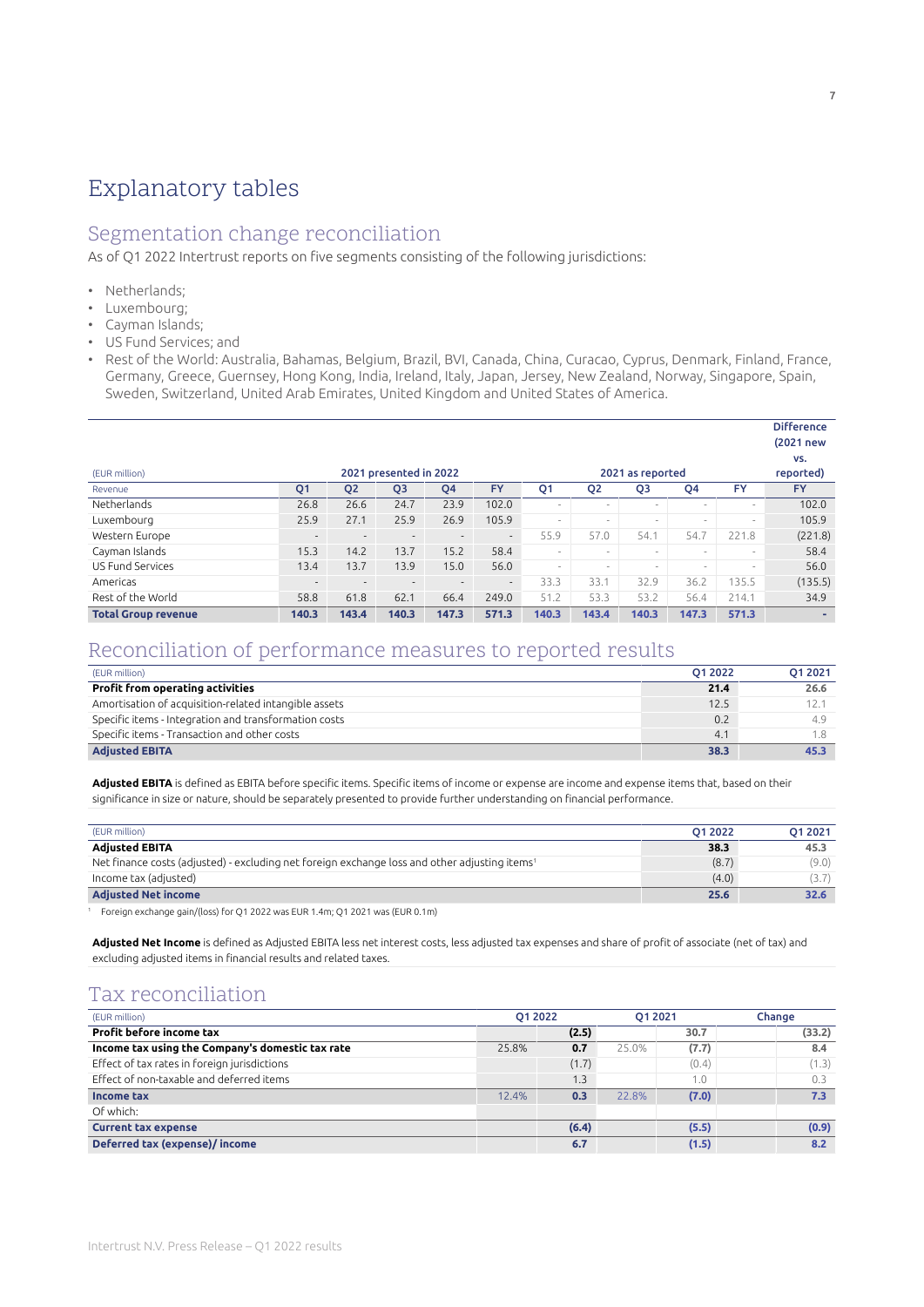## <span id="page-6-0"></span>Explanatory tables

### Segmentation change reconciliation

As of Q1 2022 Intertrust reports on five segments consisting of the following jurisdictions:

- Netherlands;
- Luxembourg;
- Cayman Islands;
- US Fund Services; and
- Rest of the World: Australia, Bahamas, Belgium, Brazil, BVI, Canada, China, Curacao, Cyprus, Denmark, Finland, France, Germany, Greece, Guernsey, Hong Kong, India, Ireland, Italy, Japan, Jersey, New Zealand, Norway, Singapore, Spain, Sweden, Switzerland, United Arab Emirates, United Kingdom and United States of America.

|                            |                          |                          |                          |                          |           |                          |                          |                          |                          |                          | ----------<br>(2021 new |
|----------------------------|--------------------------|--------------------------|--------------------------|--------------------------|-----------|--------------------------|--------------------------|--------------------------|--------------------------|--------------------------|-------------------------|
|                            |                          |                          |                          |                          |           |                          |                          |                          |                          |                          | VS.                     |
| (EUR million)              |                          |                          | 2021 presented in 2022   |                          |           |                          |                          | 2021 as reported         |                          |                          | reported)               |
| Revenue                    | Q <sub>1</sub>           | Q <sub>2</sub>           | Q <sub>3</sub>           | Q4                       | <b>FY</b> | Q <sub>1</sub>           | Q <sub>2</sub>           | Q <sub>3</sub>           | Q4                       | <b>FY</b>                | <b>FY</b>               |
| Netherlands                | 26.8                     | 26.6                     | 24.7                     | 23.9                     | 102.0     | $\overline{\phantom{a}}$ | $\overline{\phantom{a}}$ | ۰                        | $\overline{\phantom{a}}$ | -                        | 102.0                   |
| Luxembourg                 | 25.9                     | 27.1                     | 25.9                     | 26.9                     | 105.9     | $\sim$                   | $\overline{\phantom{a}}$ | $\overline{\phantom{a}}$ | $\overline{\phantom{a}}$ | $\overline{\phantom{a}}$ | 105.9                   |
| Western Europe             | $\overline{\phantom{a}}$ |                          | $\overline{\phantom{a}}$ | $\overline{\phantom{a}}$ | --        | 55.9                     | 57.0                     | 54.1                     | 54.7                     | 221.8                    | (221.8)                 |
| Cayman Islands             | 15.3                     | 14.2                     | 13.7                     | 15.2                     | 58.4      | $\sim$                   | $\overline{\phantom{a}}$ | $\overline{\phantom{a}}$ | $\overline{\phantom{a}}$ | $\overline{\phantom{a}}$ | 58.4                    |
| <b>US Fund Services</b>    | 13.4                     | 13.7                     | 13.9                     | 15.0                     | 56.0      | $\sim$                   | $\sim$                   | $\overline{\phantom{a}}$ | $\sim$                   | $\overline{\phantom{a}}$ | 56.0                    |
| Americas                   | $\overline{\phantom{a}}$ | $\overline{\phantom{0}}$ | $\overline{\phantom{a}}$ | $\overline{\phantom{a}}$ | $\sim$    | 33.3                     | 33.1                     | 32.9                     | 36.2                     | 135.5                    | (135.5)                 |
| Rest of the World          | 58.8                     | 61.8                     | 62.1                     | 66.4                     | 249.0     | 51.2                     | 53.3                     | 53.2                     | 56.4                     | 214.1                    | 34.9                    |
| <b>Total Group revenue</b> | 140.3                    | 143.4                    | 140.3                    | 147.3                    | 571.3     | 140.3                    | 143.4                    | 140.3                    | 147.3                    | 571.3                    |                         |

### Reconciliation of performance measures to reported results

| (EUR million)                                         | 01 20 22 | O1 2021 |
|-------------------------------------------------------|----------|---------|
| <b>Profit from operating activities</b>               | 21.4     | 26.6    |
| Amortisation of acquisition-related intangible assets | 12.5     |         |
| Specific items - Integration and transformation costs | 0.2      | 49      |
| Specific items - Transaction and other costs          | 4.1      |         |
| <b>Adjusted EBITA</b>                                 | 38.3     | 45.3    |

Adjusted EBITA is defined as EBITA before specific items. Specific items of income or expense are income and expense items that, based on their significance in size or nature, should be separately presented to provide further understanding on financial performance.

| (EUR million)                                                                                             | O1 2022 | 01 2021 |
|-----------------------------------------------------------------------------------------------------------|---------|---------|
| <b>Adiusted EBITA</b>                                                                                     | 38.3    | 45.3    |
| Net finance costs (adjusted) - excluding net foreign exchange loss and other adjusting items <sup>1</sup> | (8.7)   | (9.0)   |
| Income tax (adjusted)                                                                                     | (4.0)   |         |
| <b>Adjusted Net income</b>                                                                                | 25.6    | 32.6    |

<sup>1</sup> Foreign exchange gain/(loss) for Q1 2022 was EUR 1.4m; Q1 2021 was (EUR 0.1m)

**Adjusted Net Income** is defined as Adjusted EBITA less net interest costs, less adjusted tax expenses and share of profit of associate (net of tax) and excluding adjusted items in financial results and related taxes.

### Tax reconciliation

| (EUR million)                                    | 01 2022 |       | 01 2021 |       | Change |
|--------------------------------------------------|---------|-------|---------|-------|--------|
| Profit before income tax                         |         | (2.5) |         | 30.7  | (33.2) |
| Income tax using the Company's domestic tax rate | 25.8%   | 0.7   | 25.0%   | (7.7) | 8.4    |
| Effect of tax rates in foreign jurisdictions     |         | (1.7) |         | (0.4) | (1.3)  |
| Effect of non-taxable and deferred items         |         | 1.3   |         | 1.0   | 0.3    |
| Income tax                                       | 12.4%   | 0.3   | 22.8%   | (7.0) | 7.3    |
| Of which:                                        |         |       |         |       |        |
| <b>Current tax expense</b>                       |         | (6.4) |         | (5.5) | (0.9)  |
| Deferred tax (expense)/income                    |         | 6.7   |         | (1.5) | 8.2    |

Difference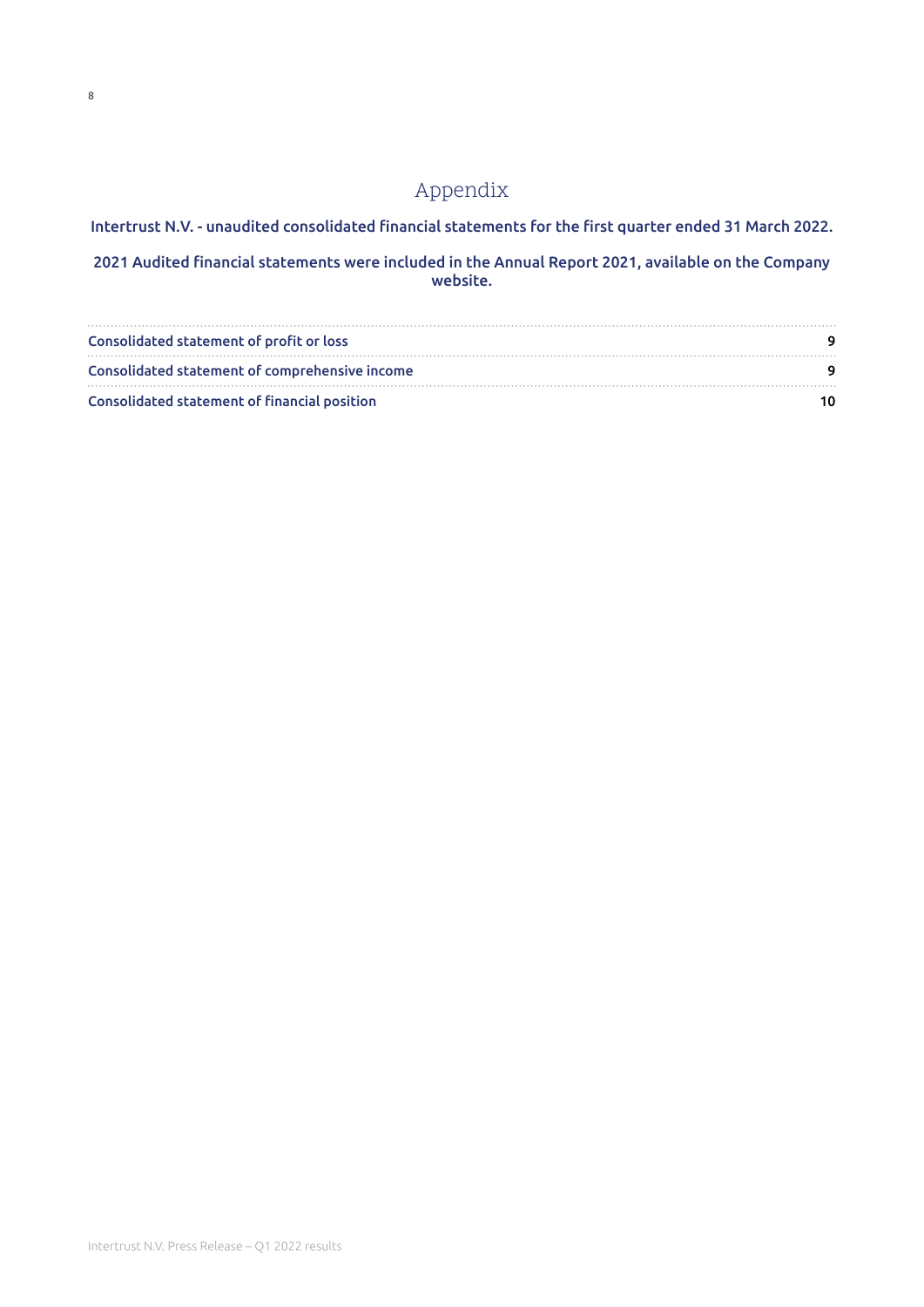### Appendix

Intertrust N.V. - unaudited consolidated financial statements for the first quarter ended 31 March 2022.

2021 Audited financial statements were included in the Annual Report 2021, available on the Company website.

| Consolidated statement of profit or loss       |  |
|------------------------------------------------|--|
| Consolidated statement of comprehensive income |  |
| Consolidated statement of financial position   |  |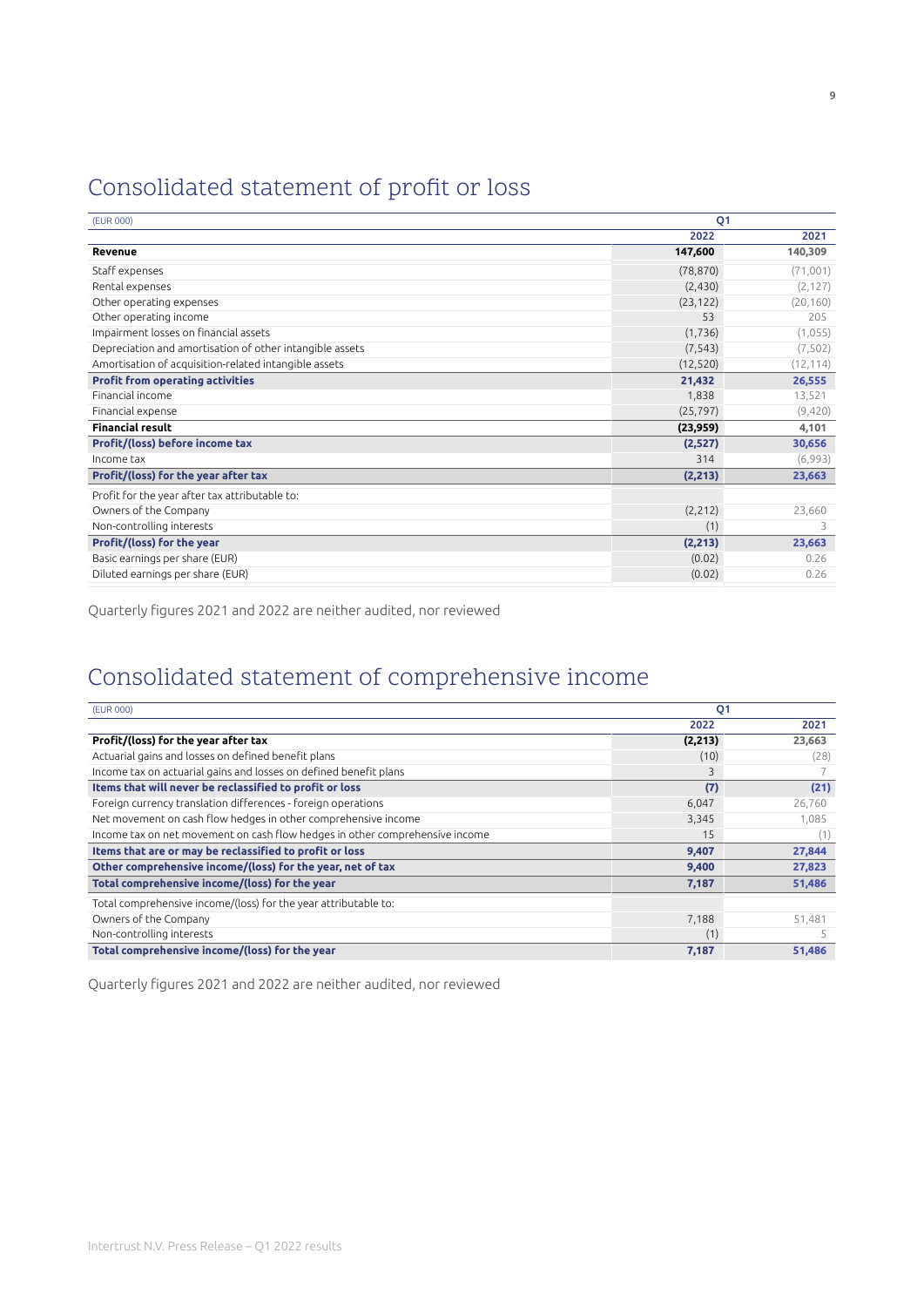## <span id="page-8-0"></span>Consolidated statement of profit or loss

| (EUR 000)                                                | O <sub>1</sub> |           |  |
|----------------------------------------------------------|----------------|-----------|--|
|                                                          | 2022           | 2021      |  |
| Revenue                                                  | 147,600        | 140,309   |  |
| Staff expenses                                           | (78, 870)      | (71,001)  |  |
| Rental expenses                                          | (2, 430)       | (2, 127)  |  |
| Other operating expenses                                 | (23, 122)      | (20, 160) |  |
| Other operating income                                   | 53             | 205       |  |
| Impairment losses on financial assets                    | (1, 736)       | (1,055)   |  |
| Depreciation and amortisation of other intangible assets | (7, 543)       | (7, 502)  |  |
| Amortisation of acquisition-related intangible assets    | (12, 520)      | (12, 114) |  |
| <b>Profit from operating activities</b>                  | 21,432         | 26,555    |  |
| Financial income                                         | 1,838          | 13,521    |  |
| Financial expense                                        | (25, 797)      | (9,420)   |  |
| <b>Financial result</b>                                  | (23,959)       | 4,101     |  |
| Profit/(loss) before income tax                          | (2,527)        | 30,656    |  |
| Income tax                                               | 314            | (6,993)   |  |
| Profit/(loss) for the year after tax                     | (2, 213)       | 23,663    |  |
| Profit for the year after tax attributable to:           |                |           |  |
| Owners of the Company                                    | (2, 212)       | 23,660    |  |
| Non-controlling interests                                | (1)            | 3         |  |
| Profit/(loss) for the year                               | (2, 213)       | 23,663    |  |
| Basic earnings per share (EUR)                           | (0.02)         | 0.26      |  |
| Diluted earnings per share (EUR)                         | (0.02)         | 0.26      |  |

Quarterly figures 2021 and 2022 are neither audited, nor reviewed

## Consolidated statement of comprehensive income

| (EUR 000)                                                                    | Q <sub>1</sub> |        |
|------------------------------------------------------------------------------|----------------|--------|
|                                                                              | 2022           | 2021   |
| Profit/(loss) for the year after tax                                         | (2, 213)       | 23,663 |
| Actuarial gains and losses on defined benefit plans                          | (10)           | (28)   |
| Income tax on actuarial gains and losses on defined benefit plans            | 3              |        |
| Items that will never be reclassified to profit or loss                      | (7)            | (21)   |
| Foreign currency translation differences - foreign operations                | 6,047          | 26,760 |
| Net movement on cash flow hedges in other comprehensive income               | 3,345          | 1,085  |
| Income tax on net movement on cash flow hedges in other comprehensive income | 15             | (1)    |
| Items that are or may be reclassified to profit or loss                      | 9,407          | 27,844 |
| Other comprehensive income/(loss) for the year, net of tax                   | 9,400          | 27,823 |
| Total comprehensive income/(loss) for the year                               | 7,187          | 51,486 |
| Total comprehensive income/(loss) for the year attributable to:              |                |        |
| Owners of the Company                                                        | 7,188          | 51,481 |
| Non-controlling interests                                                    | (1)            |        |
| Total comprehensive income/(loss) for the year                               | 7,187          | 51,486 |

Quarterly figures 2021 and 2022 are neither audited, nor reviewed